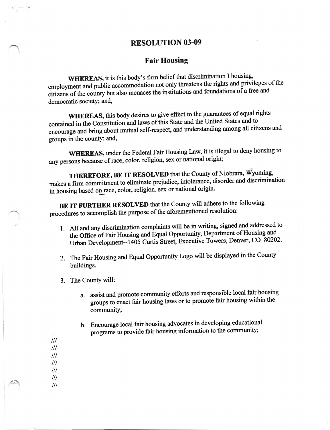## **RESOLUTION 03-09**

## **Fair Housing**

WHEREAS, it is this body's firm belief that discrimination I housing, employment and public accommodation not only threatens the rights and privileges of the citizens of the county but also menaces the institutions and foundations of a free and democratic society; and,

WHEREAS, this body desires to give effect to the guarantees of equal rights contained in the Constitution and laws of this State and the United States and to encourage and bring about mutual self-respect, and understanding among all citizens and groups in the county; and,

WHEREAS, under the Federal Fair Housing Law, it is illegal to deny housing to any persons because of race, color, religion, sex or national origin;

THEREFORE, BE IT RESOLVED that the County of Niobrara, Wyoming, makes a firm commitment to eliminate prejudice, intolerance, disorder and discrimination in housing based on race, color, religion, sex or national origin.

BE IT FURTHER RESOLVED that the County will adhere to the following procedures to accomplish the purpose of the aforementioned resolution:

- 1. All and any discrimination complaints will be in writing, signed and addressed to the Office of Fair Housing and Equal Opportunity, Department of Housing and Urban Development--1405 Curtis Street, Executive Towers, Denver, CO 80202.
- 2. The Fair Housing and Equal Opportunity Logo will be displayed in the County buildings.
- 3. The County will:
	- a. assist and promote community efforts and responsible local fair housing groups to enact fair housing laws or to promote fair housing within the community;
	- b. Encourage local fair housing advocates in developing educational programs to provide fair housing information to the community;
- $III$  $^{\prime\prime\prime}$  $^{\prime\prime\prime}$  $III$  $^{\prime\prime\prime}$  $^{\prime\prime\prime}$

 $III$